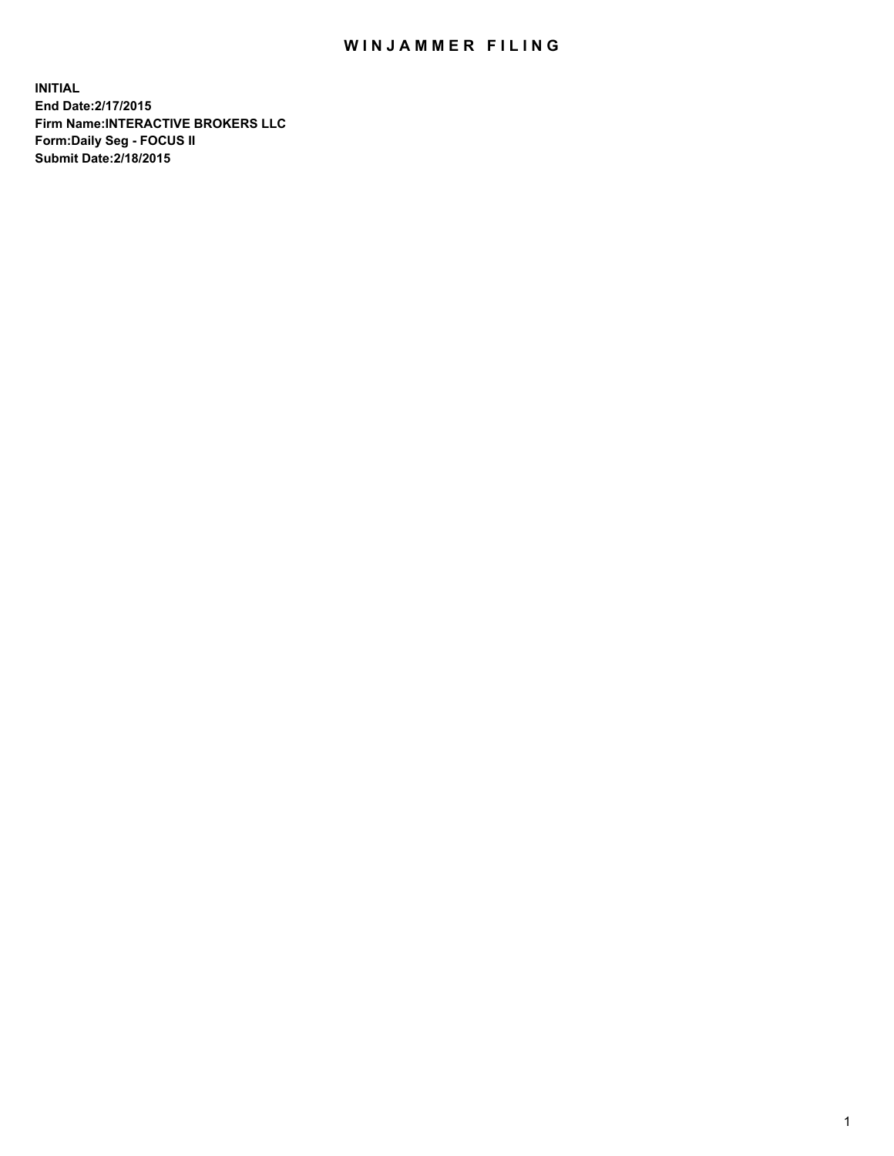## WIN JAMMER FILING

**INITIAL End Date:2/17/2015 Firm Name:INTERACTIVE BROKERS LLC Form:Daily Seg - FOCUS II Submit Date:2/18/2015**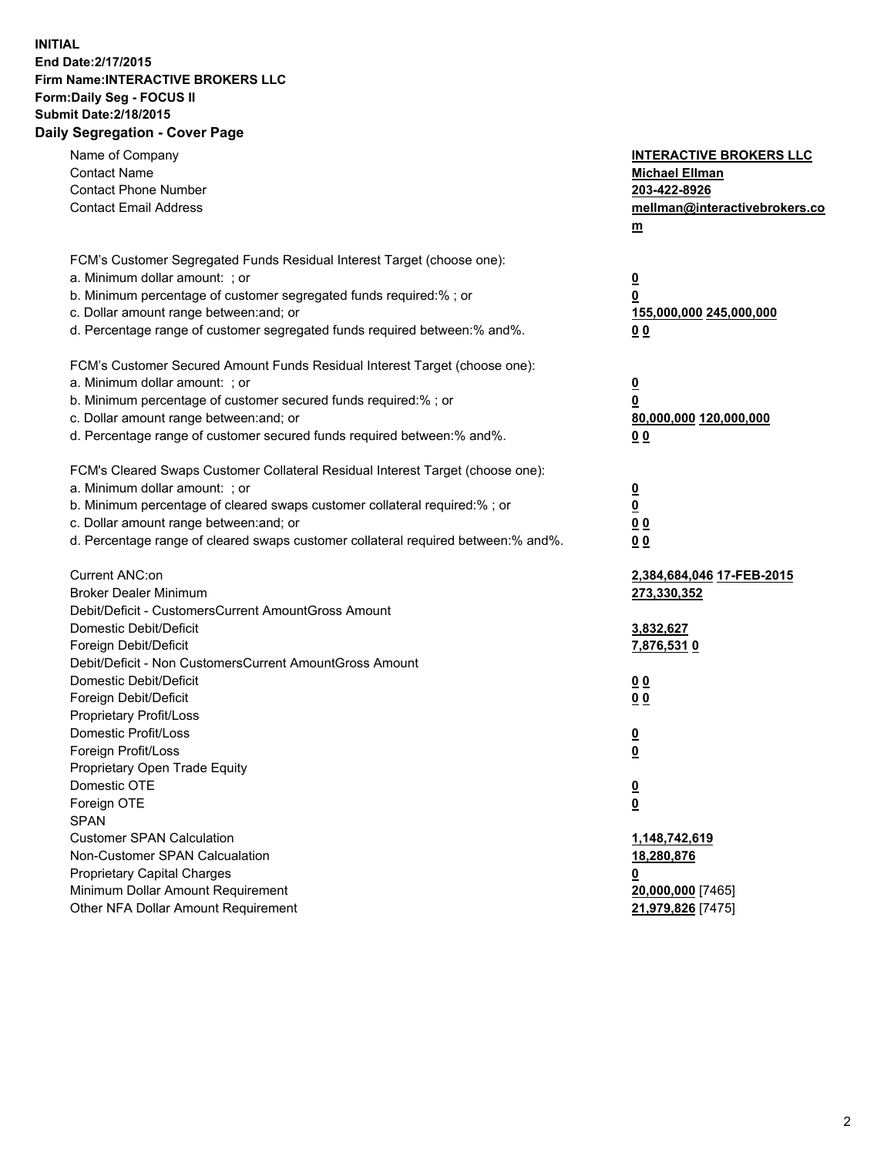## **INITIAL End Date:2/17/2015 Firm Name:INTERACTIVE BROKERS LLC Form:Daily Seg - FOCUS II Submit Date:2/18/2015 Daily Segregation - Cover Page**

| Name of Company<br><b>Contact Name</b><br><b>Contact Phone Number</b><br><b>Contact Email Address</b>    | <b>INTERACTIVE BROKERS LLC</b><br><b>Michael Ellman</b><br>203-422-8926<br>mellman@interactivebrokers.co<br>$m$ |  |
|----------------------------------------------------------------------------------------------------------|-----------------------------------------------------------------------------------------------------------------|--|
| FCM's Customer Segregated Funds Residual Interest Target (choose one):<br>a. Minimum dollar amount: ; or | $\overline{\mathbf{0}}$                                                                                         |  |
| b. Minimum percentage of customer segregated funds required:% ; or                                       | 0                                                                                                               |  |
| c. Dollar amount range between: and; or                                                                  | 155,000,000 245,000,000                                                                                         |  |
| d. Percentage range of customer segregated funds required between:% and%.                                | 0 <sub>0</sub>                                                                                                  |  |
| FCM's Customer Secured Amount Funds Residual Interest Target (choose one):                               |                                                                                                                 |  |
| a. Minimum dollar amount: ; or                                                                           | $\overline{\mathbf{0}}$                                                                                         |  |
| b. Minimum percentage of customer secured funds required:% ; or                                          | 0                                                                                                               |  |
| c. Dollar amount range between: and; or                                                                  | 80,000,000 120,000,000                                                                                          |  |
| d. Percentage range of customer secured funds required between:% and%.                                   | 0 <sub>0</sub>                                                                                                  |  |
| FCM's Cleared Swaps Customer Collateral Residual Interest Target (choose one):                           |                                                                                                                 |  |
| a. Minimum dollar amount: ; or                                                                           | $\overline{\mathbf{0}}$                                                                                         |  |
| b. Minimum percentage of cleared swaps customer collateral required:% ; or                               | $\overline{\mathbf{0}}$                                                                                         |  |
| c. Dollar amount range between: and; or                                                                  | 0 <sub>0</sub>                                                                                                  |  |
| d. Percentage range of cleared swaps customer collateral required between:% and%.                        | 0 <sub>0</sub>                                                                                                  |  |
| Current ANC:on                                                                                           | 2,384,684,046 17-FEB-2015                                                                                       |  |
| <b>Broker Dealer Minimum</b>                                                                             | 273,330,352                                                                                                     |  |
| Debit/Deficit - CustomersCurrent AmountGross Amount                                                      |                                                                                                                 |  |
| Domestic Debit/Deficit                                                                                   | 3,832,627                                                                                                       |  |
| Foreign Debit/Deficit                                                                                    | <u>7,876,5310</u>                                                                                               |  |
| Debit/Deficit - Non CustomersCurrent AmountGross Amount                                                  |                                                                                                                 |  |
| Domestic Debit/Deficit                                                                                   | 0 <sub>0</sub>                                                                                                  |  |
| Foreign Debit/Deficit                                                                                    | 0 <sub>0</sub>                                                                                                  |  |
| Proprietary Profit/Loss                                                                                  |                                                                                                                 |  |
| Domestic Profit/Loss                                                                                     | $\overline{\mathbf{0}}$                                                                                         |  |
| Foreign Profit/Loss                                                                                      | $\underline{\mathbf{0}}$                                                                                        |  |
| Proprietary Open Trade Equity<br>Domestic OTE                                                            |                                                                                                                 |  |
|                                                                                                          | <u>0</u>                                                                                                        |  |
| Foreign OTE<br><b>SPAN</b>                                                                               | <u>0</u>                                                                                                        |  |
| <b>Customer SPAN Calculation</b>                                                                         | 1,148,742,619                                                                                                   |  |
| Non-Customer SPAN Calcualation                                                                           | 18,280,876                                                                                                      |  |
| Proprietary Capital Charges                                                                              | <u>0</u>                                                                                                        |  |
| Minimum Dollar Amount Requirement                                                                        | 20,000,000 [7465]                                                                                               |  |
| Other NFA Dollar Amount Requirement                                                                      | 21,979,826 [7475]                                                                                               |  |
|                                                                                                          |                                                                                                                 |  |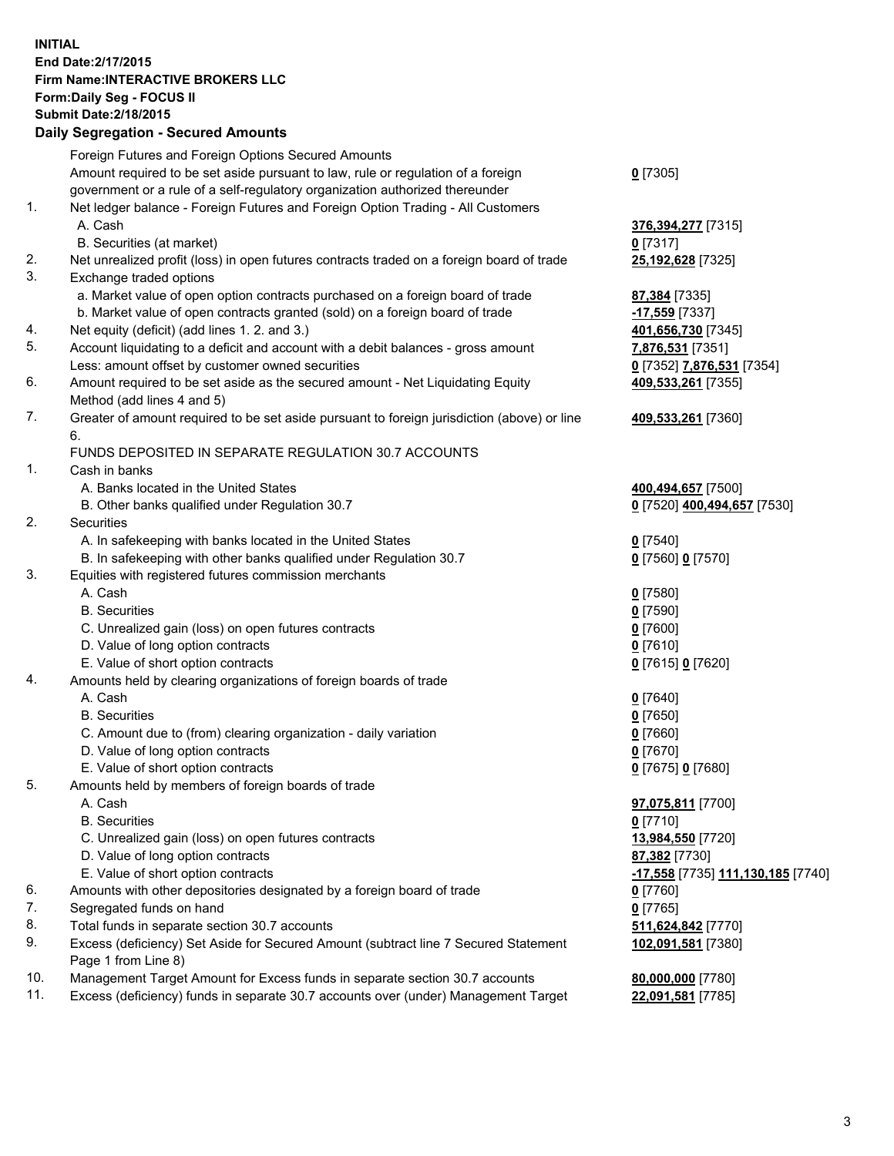## **INITIAL End Date:2/17/2015 Firm Name:INTERACTIVE BROKERS LLC Form:Daily Seg - FOCUS II Submit Date:2/18/2015 Daily Segregation - Secured Amounts**

| Daily Segregation - Secured Amounts                                                         |                                                                                                                           |
|---------------------------------------------------------------------------------------------|---------------------------------------------------------------------------------------------------------------------------|
| Foreign Futures and Foreign Options Secured Amounts                                         |                                                                                                                           |
| Amount required to be set aside pursuant to law, rule or regulation of a foreign            | $0$ [7305]                                                                                                                |
| government or a rule of a self-regulatory organization authorized thereunder                |                                                                                                                           |
| Net ledger balance - Foreign Futures and Foreign Option Trading - All Customers             |                                                                                                                           |
| A. Cash                                                                                     | 376, 394, 277 [7315]                                                                                                      |
| B. Securities (at market)                                                                   | $0$ [7317]                                                                                                                |
| Net unrealized profit (loss) in open futures contracts traded on a foreign board of trade   | 25,192,628 [7325]                                                                                                         |
| Exchange traded options                                                                     |                                                                                                                           |
| a. Market value of open option contracts purchased on a foreign board of trade              | 87,384 [7335]                                                                                                             |
| b. Market value of open contracts granted (sold) on a foreign board of trade                | -17,559 [7337]                                                                                                            |
| Net equity (deficit) (add lines 1.2. and 3.)                                                | 401,656,730 [7345]                                                                                                        |
| Account liquidating to a deficit and account with a debit balances - gross amount           | 7,876,531 [7351]                                                                                                          |
| Less: amount offset by customer owned securities                                            | 0 [7352] 7,876,531 [7354]                                                                                                 |
| Amount required to be set aside as the secured amount - Net Liquidating Equity              | 409,533,261 [7355]                                                                                                        |
| Method (add lines 4 and 5)                                                                  |                                                                                                                           |
| Greater of amount required to be set aside pursuant to foreign jurisdiction (above) or line | 409,533,261 [7360]                                                                                                        |
| 6.                                                                                          |                                                                                                                           |
| FUNDS DEPOSITED IN SEPARATE REGULATION 30.7 ACCOUNTS                                        |                                                                                                                           |
| Cash in banks                                                                               |                                                                                                                           |
| A. Banks located in the United States                                                       | 400,494,657 [7500]                                                                                                        |
| B. Other banks qualified under Regulation 30.7                                              | 0 [7520] 400,494,657 [7530]                                                                                               |
| Securities                                                                                  |                                                                                                                           |
| A. In safekeeping with banks located in the United States                                   | $Q$ [7540]                                                                                                                |
| B. In safekeeping with other banks qualified under Regulation 30.7                          | 0 [7560] 0 [7570]                                                                                                         |
| Equities with registered futures commission merchants                                       |                                                                                                                           |
| A. Cash                                                                                     | $0$ [7580]                                                                                                                |
| <b>B.</b> Securities                                                                        | $0$ [7590]                                                                                                                |
| C. Unrealized gain (loss) on open futures contracts                                         | $0$ [7600]                                                                                                                |
| D. Value of long option contracts                                                           | $0$ [7610]                                                                                                                |
| E. Value of short option contracts                                                          | 0 [7615] 0 [7620]                                                                                                         |
| Amounts held by clearing organizations of foreign boards of trade                           |                                                                                                                           |
| A. Cash                                                                                     | $0$ [7640]                                                                                                                |
| <b>B.</b> Securities                                                                        | $0$ [7650]                                                                                                                |
| C. Amount due to (from) clearing organization - daily variation                             | $0$ [7660]                                                                                                                |
| D. Value of long option contracts                                                           | $0$ [7670]                                                                                                                |
| E. Value of short option contracts                                                          | 0 [7675] 0 [7680]                                                                                                         |
| Amounts held by members of foreign boards of trade                                          |                                                                                                                           |
| A. Cash                                                                                     | 97,075,811 [7700]                                                                                                         |
| <b>B.</b> Securities                                                                        | $0$ [7710]                                                                                                                |
| C. Unrealized gain (loss) on open futures contracts                                         | 13,984,550 [7720]                                                                                                         |
| D. Value of long option contracts                                                           | 87,382 [7730]                                                                                                             |
|                                                                                             | -17,558 [7735] 111,130,185 [7740]                                                                                         |
| Amounts with other depositories designated by a foreign board of trade                      | 0 [7760]                                                                                                                  |
| Segregated funds on hand                                                                    | $0$ [7765]                                                                                                                |
| Total funds in separate section 30.7 accounts                                               | 511,624,842 [7770]                                                                                                        |
| Page 1 from Line 8)                                                                         | 102,091,581 [7380]                                                                                                        |
| Management Target Amount for Excess funds in separate section 30.7 accounts                 | 80,000,000 [7780]                                                                                                         |
| Excess (deficiency) funds in separate 30.7 accounts over (under) Management Target          | 22,091,581 [7785]                                                                                                         |
|                                                                                             | E. Value of short option contracts<br>Excess (deficiency) Set Aside for Secured Amount (subtract line 7 Secured Statement |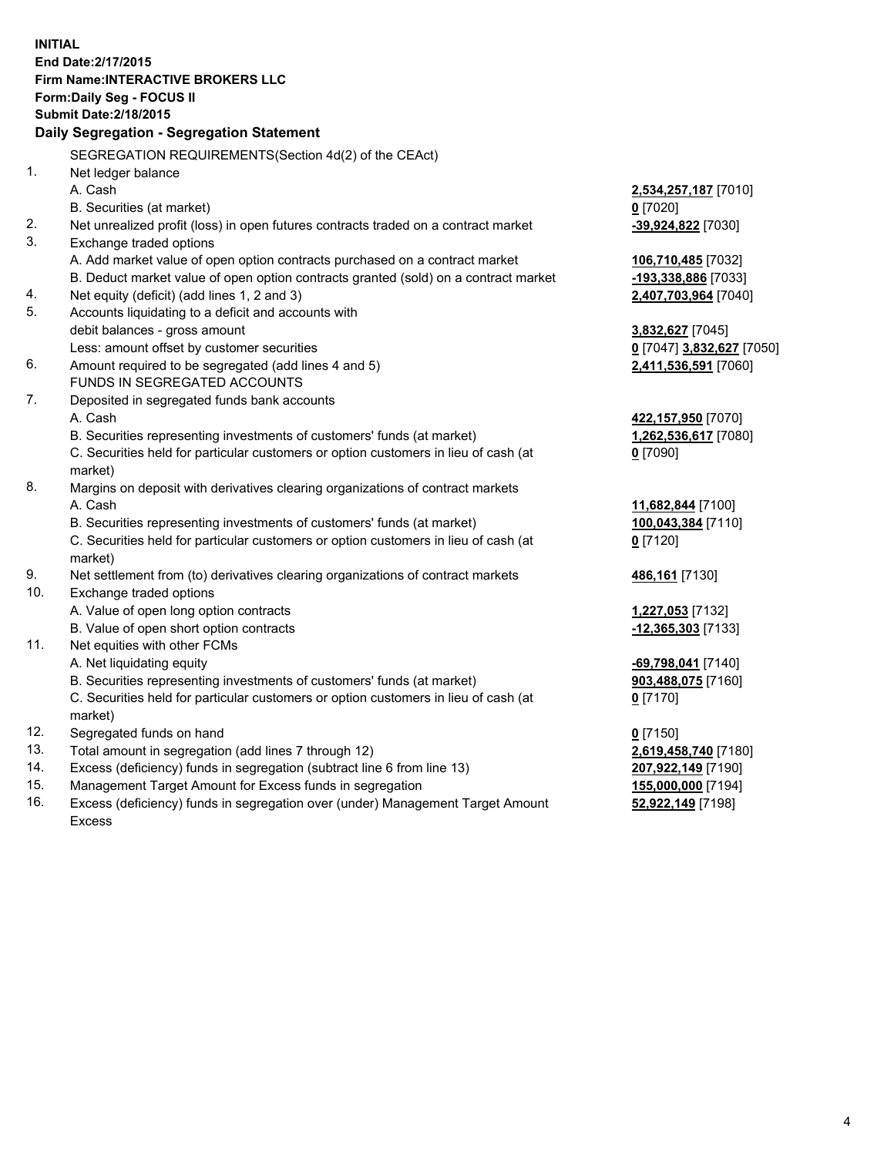**INITIAL End Date:2/17/2015 Firm Name:INTERACTIVE BROKERS LLC Form:Daily Seg - FOCUS II Submit Date:2/18/2015 Daily Segregation - Segregation Statement** SEGREGATION REQUIREMENTS(Section 4d(2) of the CEAct) 1. Net ledger balance A. Cash **2,534,257,187** [7010] B. Securities (at market) **0** [7020] 2. Net unrealized profit (loss) in open futures contracts traded on a contract market **-39,924,822** [7030] 3. Exchange traded options A. Add market value of open option contracts purchased on a contract market **106,710,485** [7032] B. Deduct market value of open option contracts granted (sold) on a contract market **-193,338,886** [7033] 4. Net equity (deficit) (add lines 1, 2 and 3) **2,407,703,964** [7040] 5. Accounts liquidating to a deficit and accounts with debit balances - gross amount **3,832,627** [7045] Less: amount offset by customer securities **0** [7047] **3,832,627** [7050] 6. Amount required to be segregated (add lines 4 and 5) **2,411,536,591** [7060] FUNDS IN SEGREGATED ACCOUNTS 7. Deposited in segregated funds bank accounts A. Cash **422,157,950** [7070] B. Securities representing investments of customers' funds (at market) **1,262,536,617** [7080] C. Securities held for particular customers or option customers in lieu of cash (at market) **0** [7090] 8. Margins on deposit with derivatives clearing organizations of contract markets A. Cash **11,682,844** [7100] B. Securities representing investments of customers' funds (at market) **100,043,384** [7110] C. Securities held for particular customers or option customers in lieu of cash (at market) **0** [7120] 9. Net settlement from (to) derivatives clearing organizations of contract markets **486,161** [7130] 10. Exchange traded options A. Value of open long option contracts **1,227,053** [7132] B. Value of open short option contracts **-12,365,303** [7133] 11. Net equities with other FCMs A. Net liquidating equity **-69,798,041** [7140] B. Securities representing investments of customers' funds (at market) **903,488,075** [7160] C. Securities held for particular customers or option customers in lieu of cash (at market) **0** [7170] 12. Segregated funds on hand **0** [7150] 13. Total amount in segregation (add lines 7 through 12) **2,619,458,740** [7180] 14. Excess (deficiency) funds in segregation (subtract line 6 from line 13) **207,922,149** [7190] 15. Management Target Amount for Excess funds in segregation **155,000,000** [7194]

16. Excess (deficiency) funds in segregation over (under) Management Target Amount Excess

**52,922,149** [7198]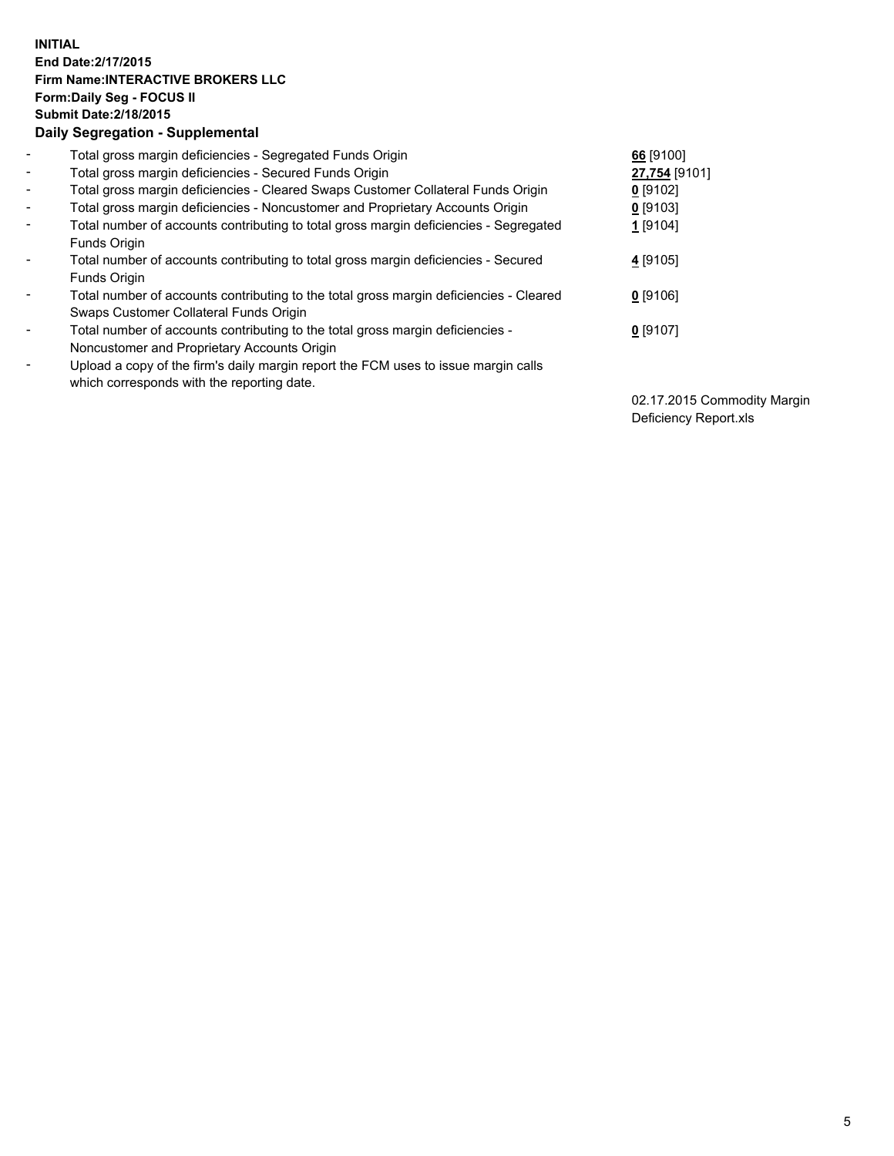## **INITIAL End Date:2/17/2015 Firm Name:INTERACTIVE BROKERS LLC Form:Daily Seg - FOCUS II Submit Date:2/18/2015 Daily Segregation - Supplemental**

| $\blacksquare$ | Total gross margin deficiencies - Segregated Funds Origin                              | 66 [9100]     |
|----------------|----------------------------------------------------------------------------------------|---------------|
| $\blacksquare$ | Total gross margin deficiencies - Secured Funds Origin                                 | 27,754 [9101] |
| $\blacksquare$ | Total gross margin deficiencies - Cleared Swaps Customer Collateral Funds Origin       | $0$ [9102]    |
| $\blacksquare$ | Total gross margin deficiencies - Noncustomer and Proprietary Accounts Origin          | $0$ [9103]    |
| $\blacksquare$ | Total number of accounts contributing to total gross margin deficiencies - Segregated  | $1$ [9104]    |
|                | Funds Origin                                                                           |               |
| $\blacksquare$ | Total number of accounts contributing to total gross margin deficiencies - Secured     | 4 [9105]      |
|                | Funds Origin                                                                           |               |
| -              | Total number of accounts contributing to the total gross margin deficiencies - Cleared | $0$ [9106]    |
|                | Swaps Customer Collateral Funds Origin                                                 |               |
| -              | Total number of accounts contributing to the total gross margin deficiencies -         | $0$ [9107]    |
|                | Noncustomer and Proprietary Accounts Origin                                            |               |
| ۰              | Upload a copy of the firm's daily margin report the FCM uses to issue margin calls     |               |
|                | which corresponds with the reporting date.                                             |               |

02.17.2015 Commodity Margin Deficiency Report.xls